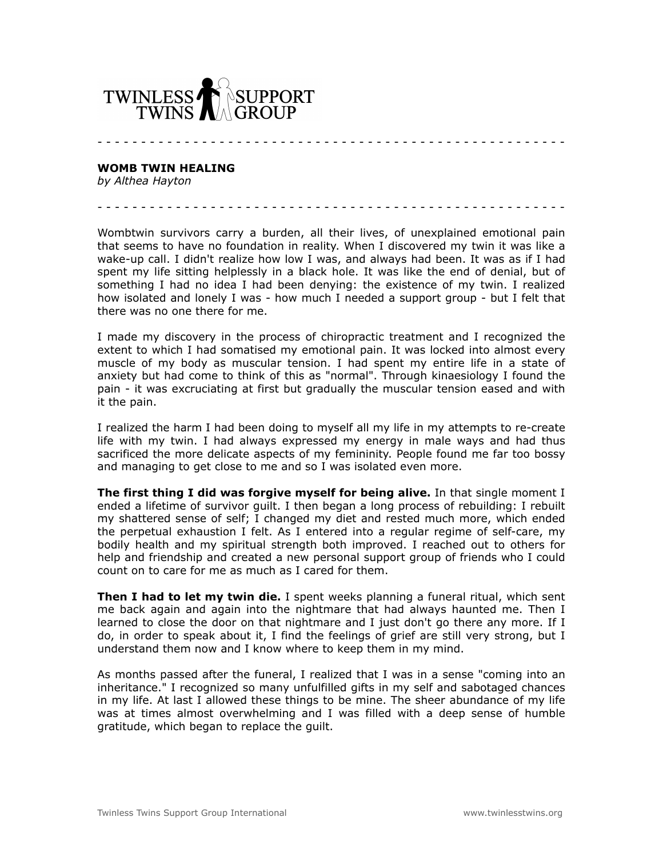

**WOMB TWIN HEALING**

*by Althea Hayton*

Wombtwin survivors carry a burden, all their lives, of unexplained emotional pain that seems to have no foundation in reality. When I discovered my twin it was like a wake-up call. I didn't realize how low I was, and always had been. It was as if I had spent my life sitting helplessly in a black hole. It was like the end of denial, but of something I had no idea I had been denying: the existence of my twin. I realized how isolated and lonely I was - how much I needed a support group - but I felt that there was no one there for me.

- - - - - - - - - - - - - - - - - - - - - - - - - - - - - - - - - - - - - - - - - - - - - - - - - - - - - -

- - - - - - - - - - - - - - - - - - - - - - - - - - - - - - - - - - - - - - - - - - - - - - - - - - - - - -

I made my discovery in the process of chiropractic treatment and I recognized the extent to which I had somatised my emotional pain. It was locked into almost every muscle of my body as muscular tension. I had spent my entire life in a state of anxiety but had come to think of this as "normal". Through kinaesiology I found the pain - it was excruciating at first but gradually the muscular tension eased and with it the pain.

I realized the harm I had been doing to myself all my life in my attempts to re-create life with my twin. I had always expressed my energy in male ways and had thus sacrificed the more delicate aspects of my femininity. People found me far too bossy and managing to get close to me and so I was isolated even more.

**The first thing I did was forgive myself for being alive.** In that single moment I ended a lifetime of survivor guilt. I then began a long process of rebuilding: I rebuilt my shattered sense of self; I changed my diet and rested much more, which ended the perpetual exhaustion I felt. As I entered into a regular regime of self-care, my bodily health and my spiritual strength both improved. I reached out to others for help and friendship and created a new personal support group of friends who I could count on to care for me as much as I cared for them.

**Then I had to let my twin die.** I spent weeks planning a funeral ritual, which sent me back again and again into the nightmare that had always haunted me. Then I learned to close the door on that nightmare and I just don't go there any more. If I do, in order to speak about it, I find the feelings of grief are still very strong, but I understand them now and I know where to keep them in my mind.

As months passed after the funeral, I realized that I was in a sense "coming into an inheritance." I recognized so many unfulfilled gifts in my self and sabotaged chances in my life. At last I allowed these things to be mine. The sheer abundance of my life was at times almost overwhelming and I was filled with a deep sense of humble gratitude, which began to replace the guilt.